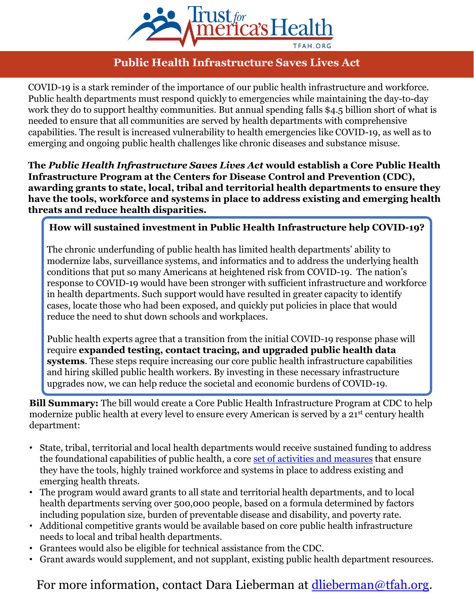

## **Public Health Infrastructure Saves Lives Act**

COVID-19 is a stark reminder of the importance of our public health infrastructure and workforce. Public health departments must respond quickly to emergencies while maintaining the day-to-day work they do to support healthy communities. But annual spending falls \$4.5 billion short of what is needed to ensure that all communities are served by health departments with comprehensive capabilities. The result is increased vulnerability to health emergencies like COVID-19, as well as to emerging and ongoing public health challenges like chronic diseases and substance misuse.

**The** *Public Health Infrastructure Saves Lives Act* **would establish a Core Public Health Infrastructure Program at the Centers for Disease Control and Prevention (CDC), awarding grants to state, local, tribal and territorial health departments to ensure they have the tools, workforce and systems in place to address existing and emerging health threats and reduce health disparities.**

## **How will sustained investment in Public Health Infrastructure help COVID-19?**

The chronic underfunding of public health has limited health departments' ability to modernize labs, surveillance systems, and informatics and to address the underlying health conditions that put so many Americans at heightened risk from COVID-19. The nation's response to COVID-19 would have been stronger with sufficient infrastructure and workforce in health departments. Such support would have resulted in greater capacity to identify cases, locate those who had been exposed, and quickly put policies in place that would reduce the need to shut down schools and workplaces.

Public health experts agree that a transition from the initial COVID-19 response phase will require **expanded testing, contact tracing, and upgraded public health data systems**. These steps require increasing our core public health infrastructure capabilities and hiring skilled public health workers. By investing in these necessary infrastructure upgrades now, we can help reduce the societal and economic burdens of COVID-19.

**Bill Summary:** The bill would create a Core Public Health Infrastructure Program at CDC to help modernize public health at every level to ensure every American is served by a 21st century health department:

- State, tribal, territorial and local health departments would receive sustained funding to address the foundational capabilities of public health, a core [set of activities and measures](https://phnci.org/uploads/resource-files/FPHS-Factsheet-November-2018.pdf) that ensure they have the tools, highly trained workforce and systems in place to address existing and emerging health threats.
- The program would award grants to all state and territorial health departments, and to local health departments serving over 500,000 people, based on a formula determined by factors including population size, burden of preventable disease and disability, and poverty rate.
- Additional competitive grants would be available based on core public health infrastructure needs to local and tribal health departments.
- Grantees would also be eligible for technical assistance from the CDC.
- Grant awards would supplement, and not supplant, existing public health department resources.

For more information, contact Dara Lieberman at [dlieberman@tfah.org](mailto:dlieberman@tfah.org).